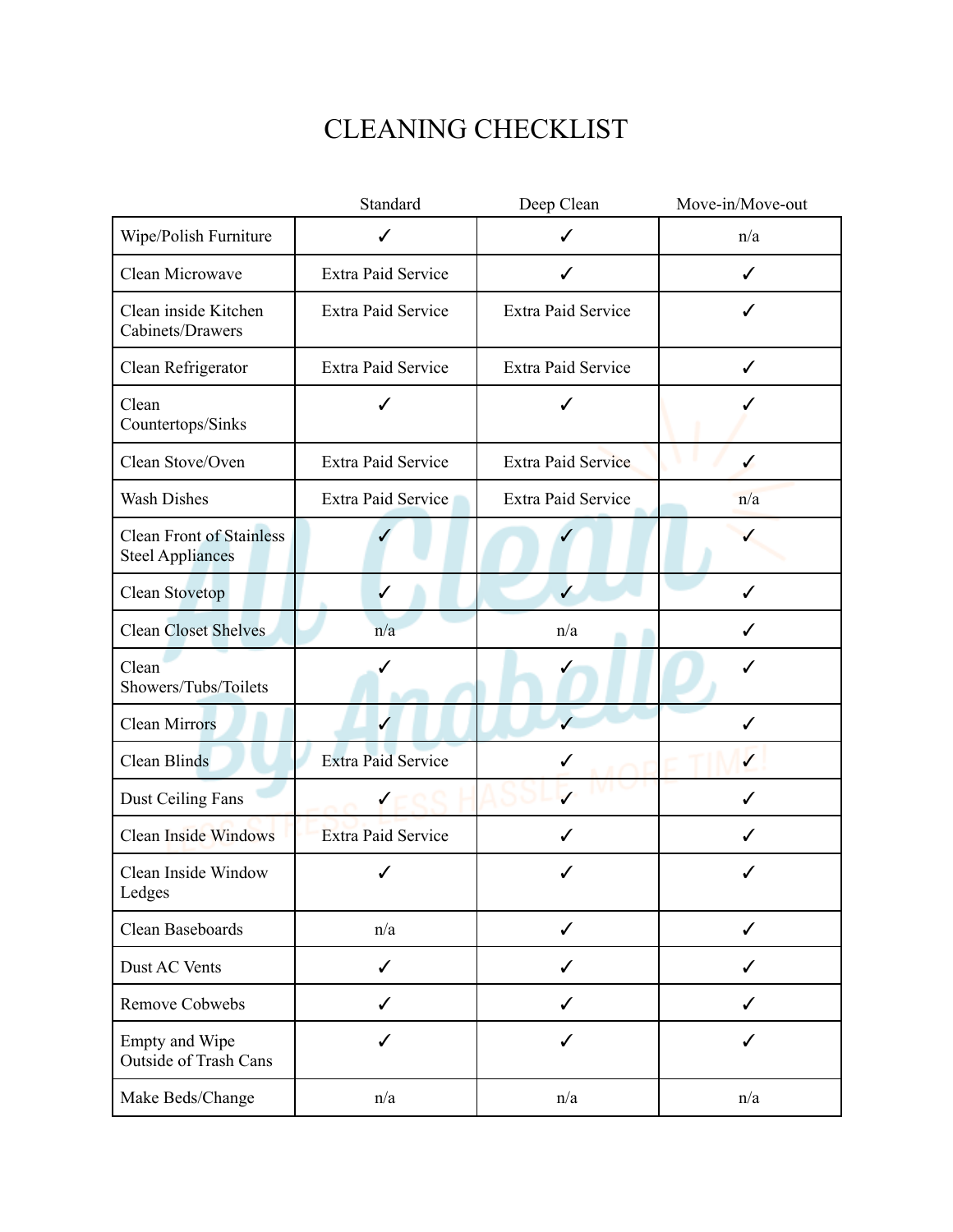## CLEANING CHECKLIST

|                                                            | Standard                  | Deep Clean                | Move-in/Move-out |
|------------------------------------------------------------|---------------------------|---------------------------|------------------|
| Wipe/Polish Furniture                                      | ✓                         | $\checkmark$              | n/a              |
| Clean Microwave                                            | <b>Extra Paid Service</b> | $\checkmark$              | ✓                |
| Clean inside Kitchen<br>Cabinets/Drawers                   | <b>Extra Paid Service</b> | Extra Paid Service        | ✓                |
| Clean Refrigerator                                         | <b>Extra Paid Service</b> | <b>Extra Paid Service</b> | ✓                |
| Clean<br>Countertops/Sinks                                 | ✓                         | √                         |                  |
| Clean Stove/Oven                                           | <b>Extra Paid Service</b> | <b>Extra Paid Service</b> | $\checkmark$     |
| Wash Dishes                                                | Extra Paid Service        | Extra Paid Service        | n/a              |
| <b>Clean Front of Stainless</b><br><b>Steel Appliances</b> |                           |                           |                  |
| Clean Stovetop                                             | $\checkmark$              | $\checkmark$              | ✓                |
| <b>Clean Closet Shelves</b>                                | n/a                       | n/a                       | ✓                |
| Clean<br>Showers/Tubs/Toilets                              |                           |                           | ✓                |
| <b>Clean Mirrors</b>                                       |                           | $\checkmark$              | ✓                |
| Clean Blinds                                               | <b>Extra Paid Service</b> | ✓                         | $\checkmark$     |
| Dust Ceiling Fans                                          |                           | $\checkmark$              | ✓                |
| <b>Clean Inside Windows</b>                                | <b>Extra Paid Service</b> | ✓                         | ✓                |
| Clean Inside Window<br>Ledges                              | ✓                         | ✓                         |                  |
| Clean Baseboards                                           | n/a                       | ✓                         | ✓                |
| Dust AC Vents                                              | ✓                         | ✓                         | ✓                |
| Remove Cobwebs                                             | ✓                         | ✓                         | ✓                |
| Empty and Wipe<br><b>Outside of Trash Cans</b>             | ✓                         | ✓                         | ✓                |
| Make Beds/Change                                           | n/a                       | n/a                       | n/a              |